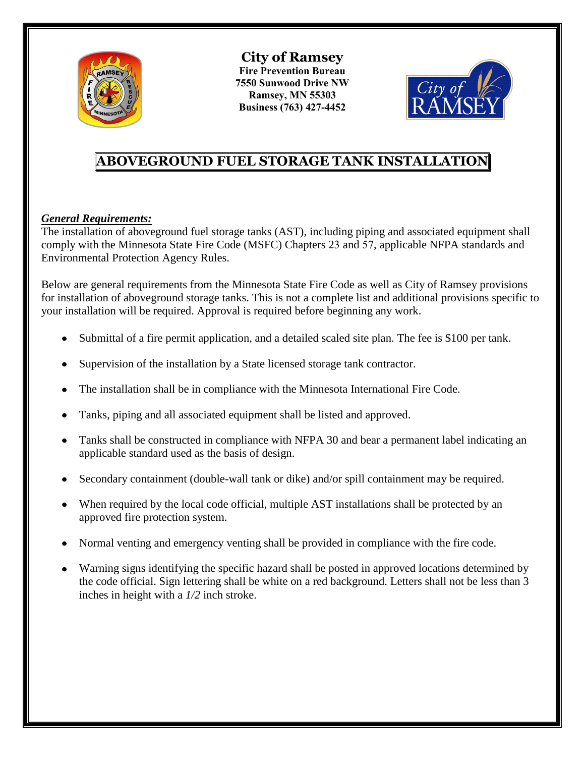

**City of Ramsey Fire Prevention Bureau 7550 Sunwood Drive NW Ramsey, MN 55303 Business (763) 427-4452** 



# **ABOVEGROUND FUEL STORAGE TANK INSTALLATION**

# *General Requirements:*

The installation of aboveground fuel storage tanks (AST), including piping and associated equipment shall comply with the Minnesota State Fire Code (MSFC) Chapters 23 and 57, applicable NFPA standards and Environmental Protection Agency Rules.

Below are general requirements from the Minnesota State Fire Code as well as City of Ramsey provisions for installation of aboveground storage tanks. This is not a complete list and additional provisions specific to your installation will be required. Approval is required before beginning any work.

- Submittal of a fire permit application, and a detailed scaled site plan. The fee is \$100 per tank.
- Supervision of the installation by a State licensed storage tank contractor.
- The installation shall be in compliance with the Minnesota International Fire Code.
- Tanks, piping and all associated equipment shall be listed and approved.
- Tanks shall be constructed in compliance with NFPA 30 and bear a permanent label indicating an applicable standard used as the basis of design.
- Secondary containment (double-wall tank or dike) and/or spill containment may be required.
- When required by the local code official, multiple AST installations shall be protected by an approved fire protection system.
- Normal venting and emergency venting shall be provided in compliance with the fire code.
- Warning signs identifying the specific hazard shall be posted in approved locations determined by the code official. Sign lettering shall be white on a red background. Letters shall not be less than 3 inches in height with a *1/2* inch stroke.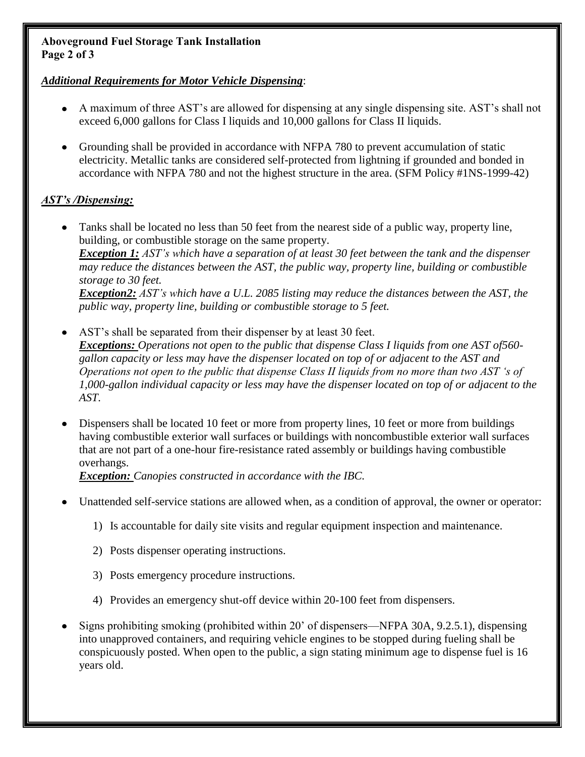### **Aboveground Fuel Storage Tank Installation Page 2 of 3**

## *Additional Requirements for Motor Vehicle Dispensing*:

- A maximum of three AST's are allowed for dispensing at any single dispensing site. AST's shall not exceed 6,000 gallons for Class I liquids and 10,000 gallons for Class II liquids.
- Tanks used for storage of Class I liquids shall be listed and labeled as protected above-ground tanks in accordance with UL 2085 and shall be in accordance with Chapter 57.

# *AST's /Dispensing:*

- Tanks shall be located no less than 50 feet from the nearest side of a public way, property line, building, or combustible storage on the same property. *Exception 1: AST's which have a separation of at least 30 feet between the tank and the dispenser may reduce the distances between the AST, the public way, property line, building or combustible storage to 30 feet. Exception2: AST's which have a UL 2085 listing and less than 6,000 gallons may reduce the distances between the AST, the public way, property line, building or combustible storage to 5 feet.*
- AST's shall be separated from their dispenser by at least 30 feet. *Exceptions: Tanks that comply Chapter 57 or tanks that have a UL 2085 listing-Operations not open to the public that dispense Class I liquids from one AST of 560- gallon capacity or less may have the dispenser located on top of or adjacent to the AST and Operations not open to the public that dispense Class II liquids from no more than two AST 's of 1,000-gallon individual capacity or less may have the dispenser located on top of or adjacent to the AST.*
- Dispensers shall be located 10 feet or more from property lines, 10 feet or more from buildings having combustible exterior wall surfaces or buildings with noncombustible exterior wall surfaces that are not part of a one-hour fire-resistance rated assembly or buildings having combustible overhangs.

*Exception: Canopies constructed in accordance with the IBC.* 

- Unattended self-service stations are allowed when, as a condition of approval, the owner or operator:
	- 1) Is accountable for daily site visits and regular equipment inspection and maintenance.
	- 2) Posts dispenser operating instructions.
	- 3) Posts emergency procedure instructions.
	- 4) Provides an emergency shut-off device within 20-100 feet from dispensers.
- Signs prohibiting smoking (prohibited within 20' of dispensers—NFPA 30A, 9.2.5.1), dispensing into unapproved containers, and requiring vehicle engines to be stopped during fueling shall be conspicuously posted. When open to the public, a sign stating minimum age to dispense fuel is 16 years old.